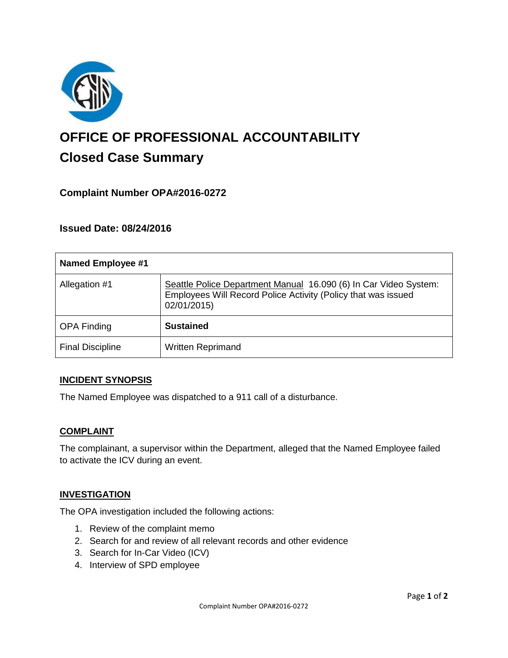

# **OFFICE OF PROFESSIONAL ACCOUNTABILITY Closed Case Summary**

## **Complaint Number OPA#2016-0272**

**Issued Date: 08/24/2016**

| <b>Named Employee #1</b> |                                                                                                                                                  |
|--------------------------|--------------------------------------------------------------------------------------------------------------------------------------------------|
| Allegation #1            | Seattle Police Department Manual 16.090 (6) In Car Video System:<br>Employees Will Record Police Activity (Policy that was issued<br>02/01/2015) |
| <b>OPA Finding</b>       | <b>Sustained</b>                                                                                                                                 |
| <b>Final Discipline</b>  | <b>Written Reprimand</b>                                                                                                                         |

### **INCIDENT SYNOPSIS**

The Named Employee was dispatched to a 911 call of a disturbance.

#### **COMPLAINT**

The complainant, a supervisor within the Department, alleged that the Named Employee failed to activate the ICV during an event.

### **INVESTIGATION**

The OPA investigation included the following actions:

- 1. Review of the complaint memo
- 2. Search for and review of all relevant records and other evidence
- 3. Search for In-Car Video (ICV)
- 4. Interview of SPD employee